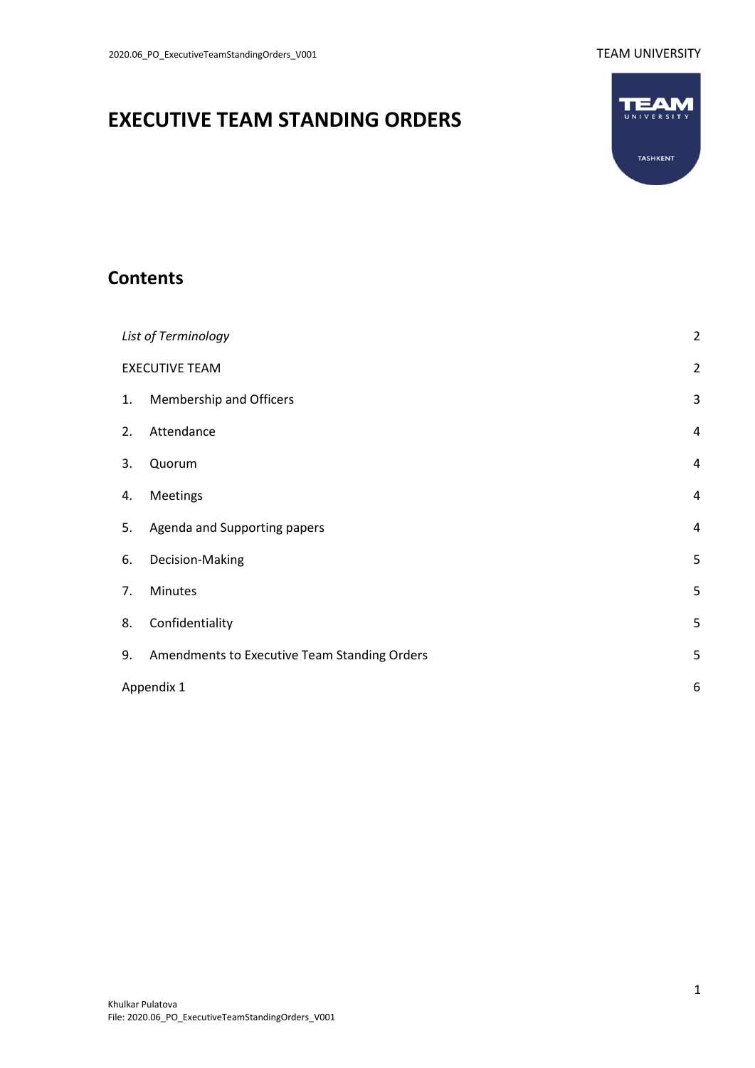# **EXECUTIVE TEAM STANDING ORDERS**



## **Contents**

| List of Terminology |                                              |   |  |
|---------------------|----------------------------------------------|---|--|
|                     | <b>EXECUTIVE TEAM</b>                        |   |  |
| 1.                  | Membership and Officers                      | 3 |  |
| 2.                  | Attendance                                   | 4 |  |
| 3.                  | Quorum                                       | 4 |  |
| 4.                  | Meetings                                     | 4 |  |
| 5.                  | Agenda and Supporting papers                 | 4 |  |
| 6.                  | Decision-Making                              | 5 |  |
| 7.                  | <b>Minutes</b>                               | 5 |  |
| 8.                  | Confidentiality                              | 5 |  |
| 9.                  | Amendments to Executive Team Standing Orders | 5 |  |
|                     | Appendix 1                                   |   |  |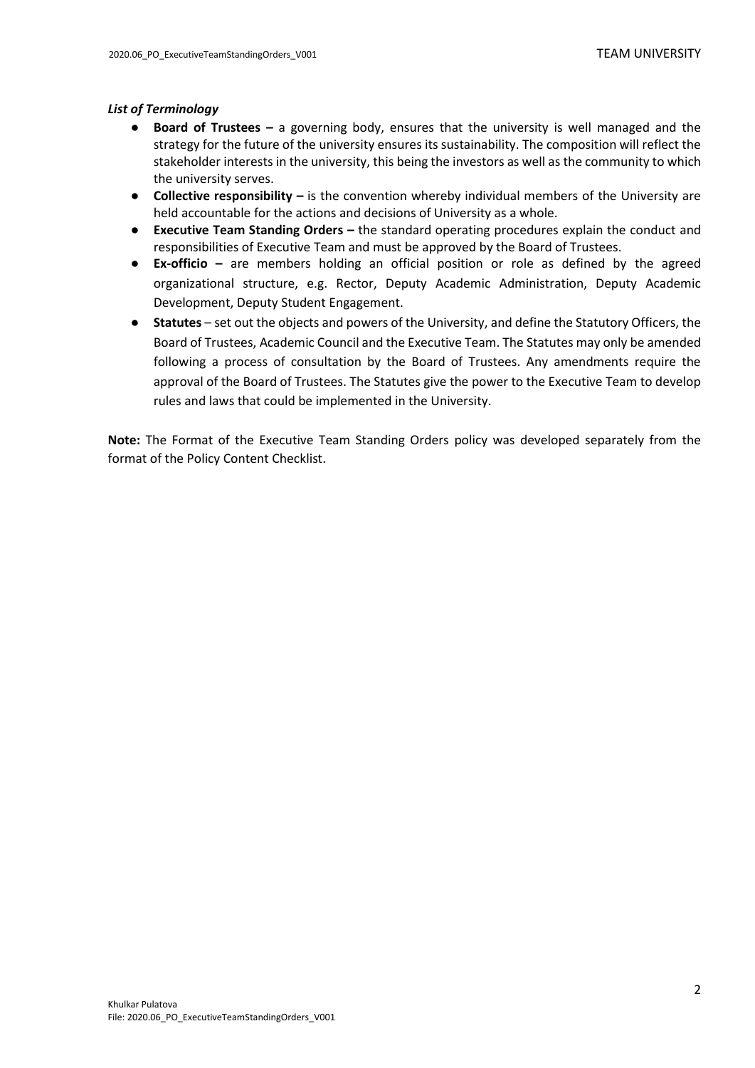#### <span id="page-1-0"></span>*List of Terminology*

- **Board of Trustees –** a governing body, ensures that the university is well managed and the strategy for the future of the university ensures its sustainability. The composition will reflect the stakeholder interests in the university, this being the investors as well as the community to which the university serves.
- **Collective responsibility –** is the convention whereby individual members of the University are held accountable for the actions and decisions of University as a whole.
- **Executive Team Standing Orders –** the standard operating procedures explain the conduct and responsibilities of Executive Team and must be approved by the Board of Trustees.
- **Ex-officio –** are members holding an official position or role as defined by the agreed organizational structure, e.g. Rector, Deputy Academic Administration, Deputy Academic Development, Deputy Student Engagement.
- **Statutes** set out the objects and powers of the University, and define the Statutory Officers, the Board of Trustees, Academic Council and the Executive Team. The Statutes may only be amended following a process of consultation by the Board of Trustees. Any amendments require the approval of the Board of Trustees. The Statutes give the power to the Executive Team to develop rules and laws that could be implemented in the University.

**Note:** The Format of the Executive Team Standing Orders policy was developed separately from the format of the Policy Content Checklist.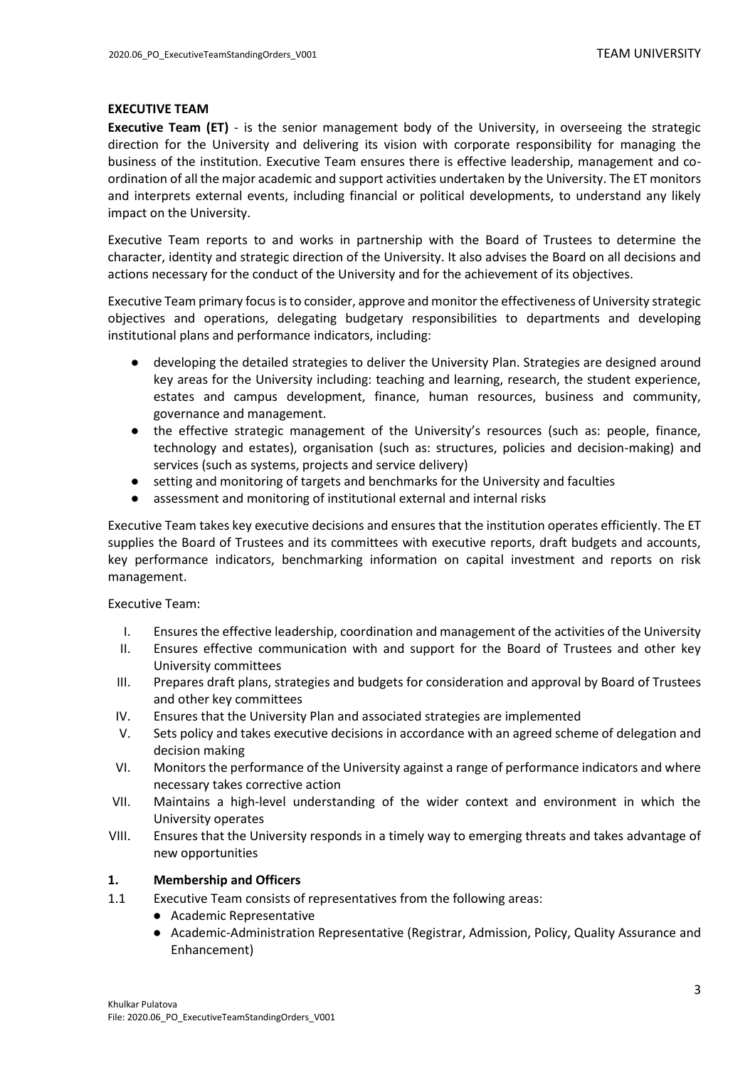#### <span id="page-2-0"></span>**EXECUTIVE TEAM**

**Executive Team (ET)** - is the senior management body of the University, in overseeing the strategic direction for the University and delivering its vision with corporate responsibility for managing the business of the institution. Executive Team ensures there is effective leadership, management and coordination of all the major academic and support activities undertaken by the University. The ET monitors and interprets external events, including financial or political developments, to understand any likely impact on the University.

Executive Team reports to and works in partnership with the Board of Trustees to determine the character, identity and strategic direction of the University. It also advises the Board on all decisions and actions necessary for the conduct of the University and for the achievement of its objectives.

Executive Team primary focus is to consider, approve and monitor the effectiveness of University strategic objectives and operations, delegating budgetary responsibilities to departments and developing institutional plans and performance indicators, including:

- developing the detailed strategies to deliver the University Plan. Strategies are designed around key areas for the University including: teaching and learning, research, the student experience, estates and campus development, finance, human resources, business and community, governance and management.
- the effective strategic management of the University's resources (such as: people, finance, technology and estates), organisation (such as: structures, policies and decision-making) and services (such as systems, projects and service delivery)
- setting and monitoring of targets and benchmarks for the University and faculties
- assessment and monitoring of institutional external and internal risks

Executive Team takes key executive decisions and ensures that the institution operates efficiently. The ET supplies the Board of Trustees and its committees with executive reports, draft budgets and accounts, key performance indicators, benchmarking information on capital investment and reports on risk management.

Executive Team:

- I. Ensures the effective leadership, coordination and management of the activities of the University
- II. Ensures effective communication with and support for the Board of Trustees and other key University committees
- III. Prepares draft plans, strategies and budgets for consideration and approval by Board of Trustees and other key committees
- IV. Ensures that the University Plan and associated strategies are implemented
- V. Sets policy and takes executive decisions in accordance with an agreed scheme of delegation and decision making
- VI. Monitors the performance of the University against a range of performance indicators and where necessary takes corrective action
- VII. Maintains a high-level understanding of the wider context and environment in which the University operates
- VIII. Ensures that the University responds in a timely way to emerging threats and takes advantage of new opportunities

#### <span id="page-2-1"></span>**1. Membership and Officers**

- 1.1 Executive Team consists of representatives from the following areas:
	- Academic Representative
	- Academic-Administration Representative (Registrar, Admission, Policy, Quality Assurance and Enhancement)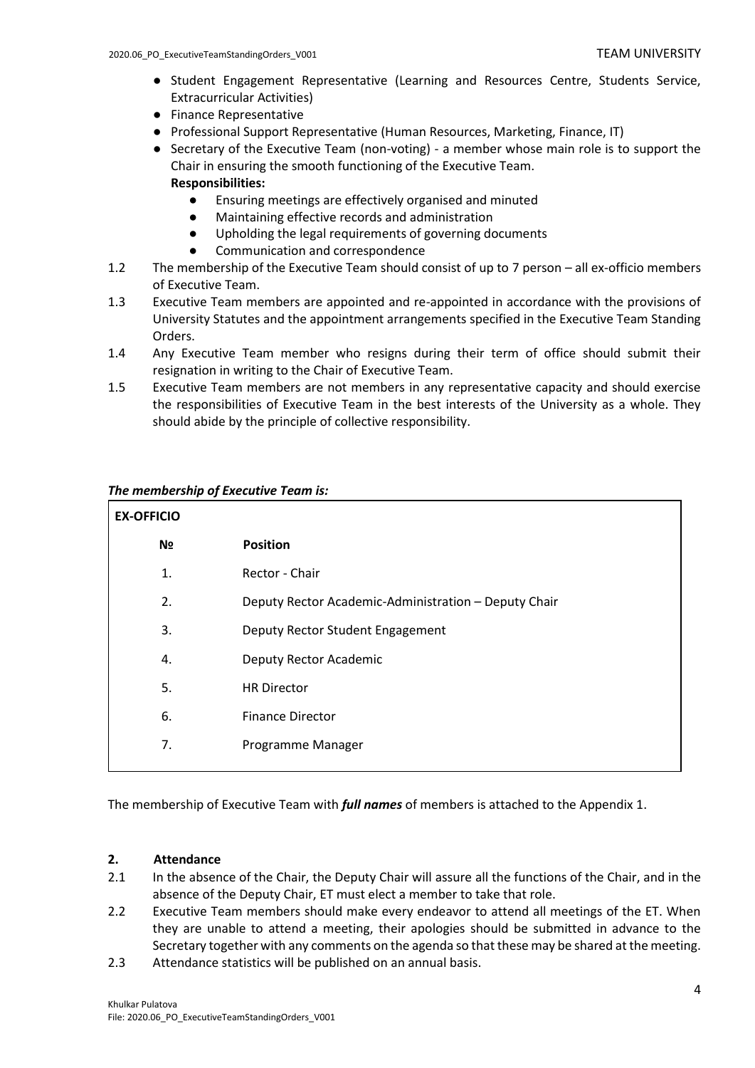- Student Engagement Representative (Learning and Resources Centre, Students Service, Extracurricular Activities)
- Finance Representative
- Professional Support Representative (Human Resources, Marketing, Finance, IT)
- Secretary of the Executive Team (non-voting) a member whose main role is to support the Chair in ensuring the smooth functioning of the Executive Team.

#### **Responsibilities:**

- Ensuring meetings are effectively organised and minuted
- Maintaining effective records and administration
- Upholding the legal requirements of governing documents
- Communication and correspondence
- 1.2 The membership of the Executive Team should consist of up to 7 person all ex-officio members of Executive Team.
- 1.3 Executive Team members are appointed and re-appointed in accordance with the provisions of University Statutes and the appointment arrangements specified in the Executive Team Standing Orders.
- 1.4 Any Executive Team member who resigns during their term of office should submit their resignation in writing to the Chair of Executive Team.
- 1.5 Executive Team members are not members in any representative capacity and should exercise the responsibilities of Executive Team in the best interests of the University as a whole. They should abide by the principle of collective responsibility.

#### *The membership of Executive Team is:*

| <b>EX-OFFICIO</b> |                                                      |  |  |  |  |
|-------------------|------------------------------------------------------|--|--|--|--|
| N <sub>2</sub>    | <b>Position</b>                                      |  |  |  |  |
| 1.                | Rector - Chair                                       |  |  |  |  |
| 2.                | Deputy Rector Academic-Administration - Deputy Chair |  |  |  |  |
| 3.                | Deputy Rector Student Engagement                     |  |  |  |  |
| 4.                | Deputy Rector Academic                               |  |  |  |  |
| 5.                | <b>HR Director</b>                                   |  |  |  |  |
| 6.                | <b>Finance Director</b>                              |  |  |  |  |
| 7.                | Programme Manager                                    |  |  |  |  |
|                   |                                                      |  |  |  |  |

The membership of Executive Team with *full names* of members is attached to the Appendix 1.

#### <span id="page-3-0"></span>**2. Attendance**

- 2.1 In the absence of the Chair, the Deputy Chair will assure all the functions of the Chair, and in the absence of the Deputy Chair, ET must elect a member to take that role.
- 2.2 Executive Team members should make every endeavor to attend all meetings of the ET. When they are unable to attend a meeting, their apologies should be submitted in advance to the Secretary together with any comments on the agenda so that these may be shared at the meeting.
- 2.3 Attendance statistics will be published on an annual basis.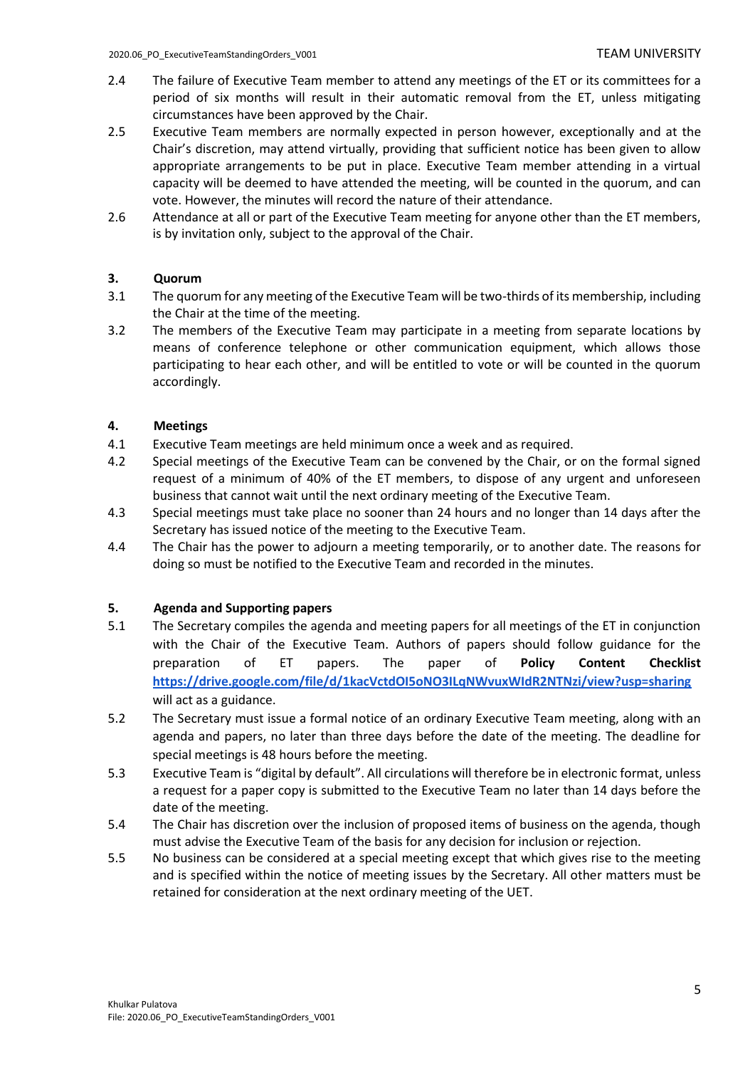- 2.4 The failure of Executive Team member to attend any meetings of the ET or its committees for a period of six months will result in their automatic removal from the ET, unless mitigating circumstances have been approved by the Chair.
- 2.5 Executive Team members are normally expected in person however, exceptionally and at the Chair's discretion, may attend virtually, providing that sufficient notice has been given to allow appropriate arrangements to be put in place. Executive Team member attending in a virtual capacity will be deemed to have attended the meeting, will be counted in the quorum, and can vote. However, the minutes will record the nature of their attendance.
- 2.6 Attendance at all or part of the Executive Team meeting for anyone other than the ET members, is by invitation only, subject to the approval of the Chair.

### <span id="page-4-0"></span>**3. Quorum**

- 3.1 The quorum for any meeting of the Executive Team will be two-thirds of its membership, including the Chair at the time of the meeting.
- 3.2 The members of the Executive Team may participate in a meeting from separate locations by means of conference telephone or other communication equipment, which allows those participating to hear each other, and will be entitled to vote or will be counted in the quorum accordingly.

#### <span id="page-4-1"></span>**4. Meetings**

- 4.1 Executive Team meetings are held minimum once a week and as required.
- 4.2 Special meetings of the Executive Team can be convened by the Chair, or on the formal signed request of a minimum of 40% of the ET members, to dispose of any urgent and unforeseen business that cannot wait until the next ordinary meeting of the Executive Team.
- 4.3 Special meetings must take place no sooner than 24 hours and no longer than 14 days after the Secretary has issued notice of the meeting to the Executive Team.
- 4.4 The Chair has the power to adjourn a meeting temporarily, or to another date. The reasons for doing so must be notified to the Executive Team and recorded in the minutes.

### <span id="page-4-2"></span>**5. Agenda and Supporting papers**

- 5.1 The Secretary compiles the agenda and meeting papers for all meetings of the ET in conjunction with the Chair of the Executive Team. Authors of papers should follow guidance for the preparation of ET papers. The paper of **Policy Content Checklist <https://drive.google.com/file/d/1kacVctdOI5oNO3ILqNWvuxWIdR2NTNzi/view?usp=sharing>** will act as a guidance.
- 5.2 The Secretary must issue a formal notice of an ordinary Executive Team meeting, along with an agenda and papers, no later than three days before the date of the meeting. The deadline for special meetings is 48 hours before the meeting.
- 5.3 Executive Team is "digital by default". All circulations will therefore be in electronic format, unless a request for a paper copy is submitted to the Executive Team no later than 14 days before the date of the meeting.
- 5.4 The Chair has discretion over the inclusion of proposed items of business on the agenda, though must advise the Executive Team of the basis for any decision for inclusion or rejection.
- 5.5 No business can be considered at a special meeting except that which gives rise to the meeting and is specified within the notice of meeting issues by the Secretary. All other matters must be retained for consideration at the next ordinary meeting of the UET.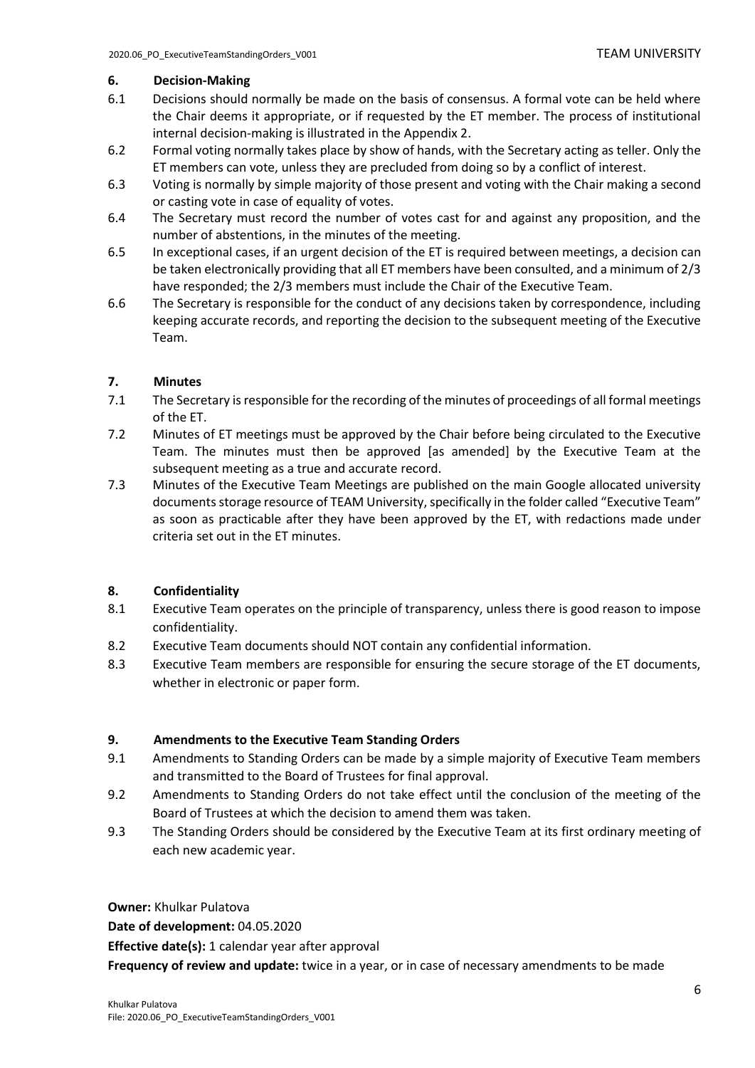#### <span id="page-5-0"></span>**6. Decision-Making**

- 6.1 Decisions should normally be made on the basis of consensus. A formal vote can be held where the Chair deems it appropriate, or if requested by the ET member. The process of institutional internal decision-making is illustrated in the Appendix 2.
- 6.2 Formal voting normally takes place by show of hands, with the Secretary acting as teller. Only the ET members can vote, unless they are precluded from doing so by a conflict of interest.
- 6.3 Voting is normally by simple majority of those present and voting with the Chair making a second or casting vote in case of equality of votes.
- 6.4 The Secretary must record the number of votes cast for and against any proposition, and the number of abstentions, in the minutes of the meeting.
- 6.5 In exceptional cases, if an urgent decision of the ET is required between meetings, a decision can be taken electronically providing that all ET members have been consulted, and a minimum of 2/3 have responded; the 2/3 members must include the Chair of the Executive Team.
- 6.6 The Secretary is responsible for the conduct of any decisions taken by correspondence, including keeping accurate records, and reporting the decision to the subsequent meeting of the Executive Team.

### <span id="page-5-1"></span>**7. Minutes**

- 7.1 The Secretary is responsible for the recording of the minutes of proceedings of all formal meetings of the ET.
- 7.2 Minutes of ET meetings must be approved by the Chair before being circulated to the Executive Team. The minutes must then be approved [as amended] by the Executive Team at the subsequent meeting as a true and accurate record.
- 7.3 Minutes of the Executive Team Meetings are published on the main Google allocated university documents storage resource of TEAM University, specifically in the folder called "Executive Team" as soon as practicable after they have been approved by the ET, with redactions made under criteria set out in the ET minutes.

### <span id="page-5-2"></span>**8. Confidentiality**

- 8.1 Executive Team operates on the principle of transparency, unless there is good reason to impose confidentiality.
- 8.2 Executive Team documents should NOT contain any confidential information.
- 8.3 Executive Team members are responsible for ensuring the secure storage of the ET documents, whether in electronic or paper form.

### <span id="page-5-3"></span>**9. Amendments to the Executive Team Standing Orders**

- 9.1 Amendments to Standing Orders can be made by a simple majority of Executive Team members and transmitted to the Board of Trustees for final approval.
- 9.2 Amendments to Standing Orders do not take effect until the conclusion of the meeting of the Board of Trustees at which the decision to amend them was taken.
- 9.3 The Standing Orders should be considered by the Executive Team at its first ordinary meeting of each new academic year.

<span id="page-5-4"></span>**Owner:** Khulkar Pulatova

**Date of development:** 04.05.2020

**Effective date(s):** 1 calendar year after approval

**Frequency of review and update:** twice in a year, or in case of necessary amendments to be made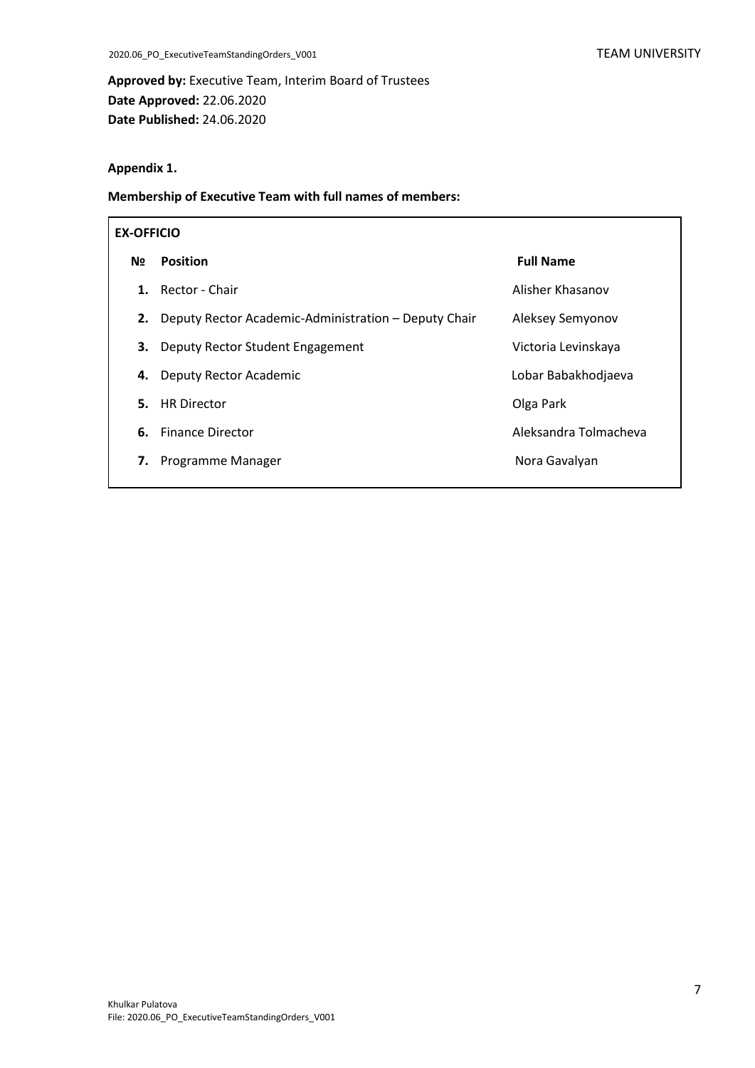**Approved by:** Executive Team, Interim Board of Trustees **Date Approved:** 22.06.2020 **Date Published:** 24.06.2020

#### **Appendix 1.**

**Membership of Executive Team with full names of members:**

| <b>EX-OFFICIO</b> |                                                      |                       |  |  |
|-------------------|------------------------------------------------------|-----------------------|--|--|
| N <sub>2</sub>    | <b>Position</b>                                      | <b>Full Name</b>      |  |  |
| 1.                | Rector - Chair                                       | Alisher Khasanov      |  |  |
| 2.                | Deputy Rector Academic-Administration - Deputy Chair | Aleksey Semyonov      |  |  |
| 3.                | Deputy Rector Student Engagement                     | Victoria Levinskaya   |  |  |
| 4.                | Deputy Rector Academic                               | Lobar Babakhodjaeva   |  |  |
| 5.                | <b>HR</b> Director                                   | Olga Park             |  |  |
| 6.                | <b>Finance Director</b>                              | Aleksandra Tolmacheva |  |  |
| 7.                | Programme Manager                                    | Nora Gavalyan         |  |  |